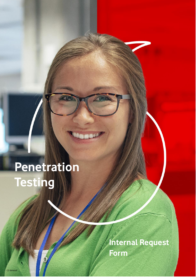# **Penetration Testing**

**Internal Request Form**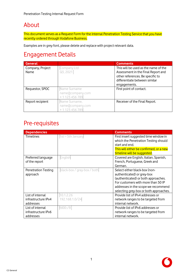## About

This document serves as a Request Form for the Internal Penetration Testing Service that you have recently ordered through Vodafone Business.

Examples are in grey font, please delete and replace with project relevant data.

### Engagement Details

| <b>General</b>           |                                                  | <b>Comments</b>                                                                                                                                                 |
|--------------------------|--------------------------------------------------|-----------------------------------------------------------------------------------------------------------------------------------------------------------------|
| Company, Project<br>Name | Company Ltd<br>Q3, 2021                          | This will be used as the name of the<br>Assessment in the Final Report and<br>other references. Be specific to<br>differentiate between similar<br>engagements. |
| Requestor, SPOC          | Name Surname<br>name@company.com<br>+1123456789  | First point of contact.                                                                                                                                         |
| Report recipient         | Name Surname,<br>name@company.com<br>+1123456789 | Receiver of the Final Report.                                                                                                                                   |

#### Pre-requisites

| <b>Dependencies</b> |                             | <b>Comments</b>                         |
|---------------------|-----------------------------|-----------------------------------------|
| <b>Timelines</b>    | 1st-5th January             | First insert suggested time window in   |
|                     |                             | which the Penetration Testing should    |
|                     |                             | start and end.                          |
|                     |                             | This will either be confirmed, or a new |
|                     |                             | timeline will be suggested.             |
| Preferred language  | English                     | Covered are English, Italian, Spanish,  |
| of the report       |                             | French, Portuguese, Greek and           |
|                     |                             | German.                                 |
| Penetration Testing | black-box / gray-box / both | Select either black-box (non-           |
| approach            |                             | authenticated) or grey-box              |
|                     |                             | (authenticated) or both approaches.     |
|                     |                             | For customers with more than 50 IP      |
|                     |                             | addresses in the scope we recommend     |
|                     |                             | selecting grey-box or both approaches.  |
| List of internal    | 10.1.2.26                   | Provide list of IPv4 addresses or       |
| infrastructure IPv4 | 192.168.1.0/24              | network ranges to be targeted from      |
| addresses           |                             | internal network.                       |
| List of internal    | fd00::/8                    | Provide list of IPv6 addresses or       |
| infrastructure IPv6 |                             | network ranges to be targeted from      |
| addresses           |                             | internal network.                       |

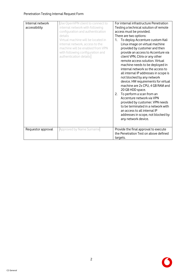| Internal network<br>accessibility | Use OpenVPN client to connect to<br>internal network with following<br>configuration and authentication<br>details<br>Virtual machine will be located in<br>internal network, access to the<br>machine will be enabled from VPN<br>with following configuration and<br>authentication details | For internal infrastructure Penetration<br>Testing a technical solution of remote<br>access must be provided.<br>There are two options:<br>To deploy Accenture custom Kali<br>$1_{\cdot}$<br>Linux image on virtual machine<br>provided by customer and then<br>provide an access to Accenture via<br>client VPN, Citrix or any other<br>remote access solution. Virtual<br>machine needs to be deployed in<br>internal network so the access to<br>all internal IP addresses in scope is<br>not blocked by any network<br>device. HW requirements for virtual<br>machine are 2x CPU, 4 GB RAM and<br>20 GB HDD space.<br>To perform a scan from an<br>2.<br>Accenture network via VPN<br>provided by customer. VPN needs<br>to be terminated in a network with<br>an access to all internal IP<br>addresses in scope, not blocked by<br>any network device. |
|-----------------------------------|-----------------------------------------------------------------------------------------------------------------------------------------------------------------------------------------------------------------------------------------------------------------------------------------------|--------------------------------------------------------------------------------------------------------------------------------------------------------------------------------------------------------------------------------------------------------------------------------------------------------------------------------------------------------------------------------------------------------------------------------------------------------------------------------------------------------------------------------------------------------------------------------------------------------------------------------------------------------------------------------------------------------------------------------------------------------------------------------------------------------------------------------------------------------------|
| Requestor approval                | Approved by Name Surname                                                                                                                                                                                                                                                                      | Provide the final approval to execute<br>the Penetration Test on above defined<br>targets.                                                                                                                                                                                                                                                                                                                                                                                                                                                                                                                                                                                                                                                                                                                                                                   |